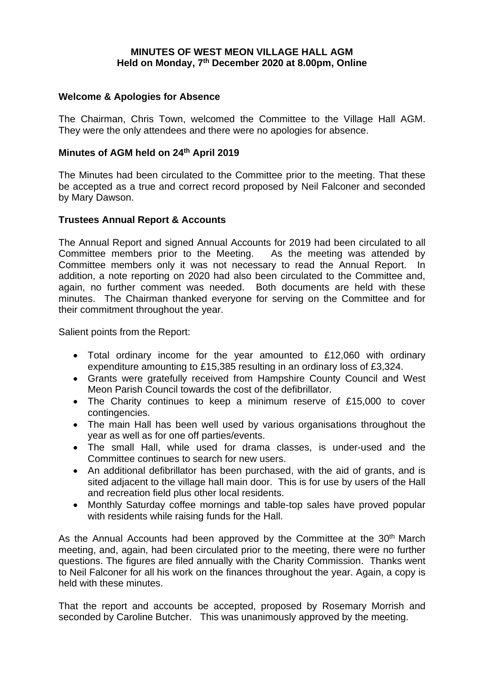## **MINUTES OF WEST MEON VILLAGE HALL AGM Held on Monday, 7th December 2020 at 8.00pm, Online**

# **Welcome & Apologies for Absence**

The Chairman, Chris Town, welcomed the Committee to the Village Hall AGM. They were the only attendees and there were no apologies for absence.

## **Minutes of AGM held on 24th April 2019**

The Minutes had been circulated to the Committee prior to the meeting. That these be accepted as a true and correct record proposed by Neil Falconer and seconded by Mary Dawson.

## **Trustees Annual Report & Accounts**

The Annual Report and signed Annual Accounts for 2019 had been circulated to all Committee members prior to the Meeting. As the meeting was attended by Committee members only it was not necessary to read the Annual Report. In addition, a note reporting on 2020 had also been circulated to the Committee and, again, no further comment was needed. Both documents are held with these minutes. The Chairman thanked everyone for serving on the Committee and for their commitment throughout the year.

Salient points from the Report:

- Total ordinary income for the year amounted to £12,060 with ordinary expenditure amounting to £15,385 resulting in an ordinary loss of £3,324.
- Grants were gratefully received from Hampshire County Council and West Meon Parish Council towards the cost of the defibrillator.
- The Charity continues to keep a minimum reserve of £15,000 to cover contingencies.
- The main Hall has been well used by various organisations throughout the year as well as for one off parties/events.
- The small Hall, while used for drama classes, is under-used and the Committee continues to search for new users.
- An additional defibrillator has been purchased, with the aid of grants, and is sited adjacent to the village hall main door. This is for use by users of the Hall and recreation field plus other local residents.
- Monthly Saturday coffee mornings and table-top sales have proved popular with residents while raising funds for the Hall.

As the Annual Accounts had been approved by the Committee at the 30<sup>th</sup> March meeting, and, again, had been circulated prior to the meeting, there were no further questions. The figures are filed annually with the Charity Commission. Thanks went to Neil Falconer for all his work on the finances throughout the year. Again, a copy is held with these minutes

That the report and accounts be accepted, proposed by Rosemary Morrish and seconded by Caroline Butcher. This was unanimously approved by the meeting.